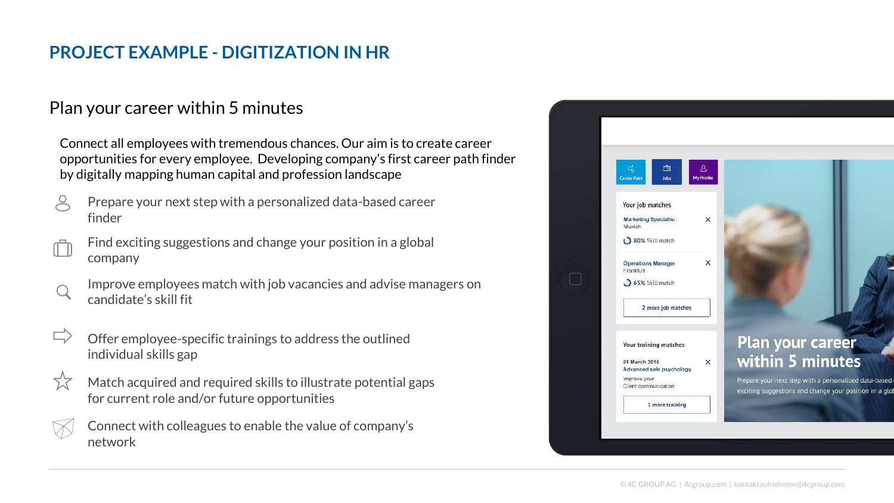## **PROJECT EXAMPLE - DIGITIZATION IN HR**

## Plan your career within 5 minutes

Connect all employees with tremendous chances. Our aim is to create career opportunities for every employee. Developing company's first career path finder by digitally mapping human capital and profession landscape

- Prepare your next step with a personalized data-based career finder
- Find exciting suggestions and change your position in a global company
- Improve employees match with job vacancies and advise managers on candidate's skill fit
- Offer employee-specific trainings to address the outlined individual skills gap
- Match acquired and required skills to illustrate potential gaps for current role and/or future opportunities
- Connect with colleagues to enable the value of company's network